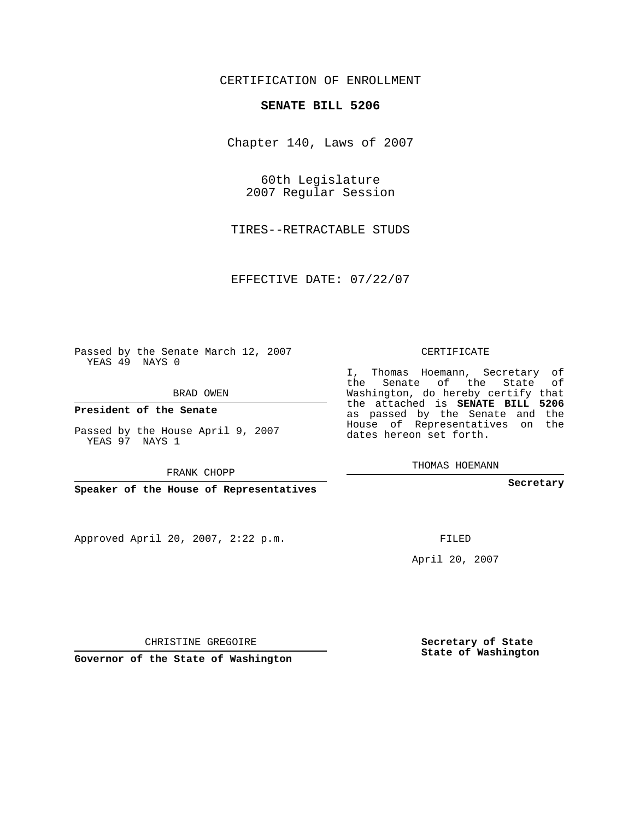## CERTIFICATION OF ENROLLMENT

## **SENATE BILL 5206**

Chapter 140, Laws of 2007

60th Legislature 2007 Regular Session

TIRES--RETRACTABLE STUDS

EFFECTIVE DATE: 07/22/07

Passed by the Senate March 12, 2007 YEAS 49 NAYS 0

BRAD OWEN

**President of the Senate**

Passed by the House April 9, 2007 YEAS 97 NAYS 1

FRANK CHOPP

**Speaker of the House of Representatives**

Approved April 20, 2007, 2:22 p.m.

CERTIFICATE

I, Thomas Hoemann, Secretary of the Senate of the State of Washington, do hereby certify that the attached is **SENATE BILL 5206** as passed by the Senate and the House of Representatives on the dates hereon set forth.

THOMAS HOEMANN

**Secretary**

FILED

April 20, 2007

**Secretary of State State of Washington**

CHRISTINE GREGOIRE

**Governor of the State of Washington**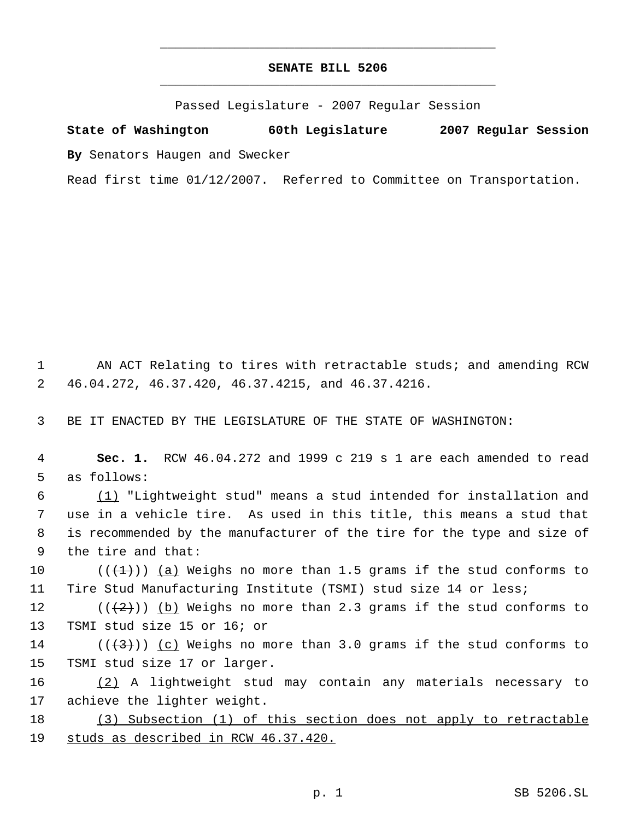## **SENATE BILL 5206** \_\_\_\_\_\_\_\_\_\_\_\_\_\_\_\_\_\_\_\_\_\_\_\_\_\_\_\_\_\_\_\_\_\_\_\_\_\_\_\_\_\_\_\_\_

\_\_\_\_\_\_\_\_\_\_\_\_\_\_\_\_\_\_\_\_\_\_\_\_\_\_\_\_\_\_\_\_\_\_\_\_\_\_\_\_\_\_\_\_\_

Passed Legislature - 2007 Regular Session

**State of Washington 60th Legislature 2007 Regular Session By** Senators Haugen and Swecker

Read first time 01/12/2007. Referred to Committee on Transportation.

 1 AN ACT Relating to tires with retractable studs; and amending RCW 2 46.04.272, 46.37.420, 46.37.4215, and 46.37.4216.

3 BE IT ENACTED BY THE LEGISLATURE OF THE STATE OF WASHINGTON:

 4 **Sec. 1.** RCW 46.04.272 and 1999 c 219 s 1 are each amended to read 5 as follows:

 (1) "Lightweight stud" means a stud intended for installation and use in a vehicle tire. As used in this title, this means a stud that is recommended by the manufacturer of the tire for the type and size of the tire and that:

10  $((\{+1\})$  (a) Weighs no more than 1.5 grams if the stud conforms to 11 Tire Stud Manufacturing Institute (TSMI) stud size 14 or less;

12 ( $(\frac{2}{2})$ ) (b) Weighs no more than 2.3 grams if the stud conforms to 13 TSMI stud size 15 or 16; or

14 ( $(\langle 3 \rangle)$ ) (c) Weighs no more than 3.0 grams if the stud conforms to 15 TSMI stud size 17 or larger.

16 (2) A lightweight stud may contain any materials necessary to 17 achieve the lighter weight.

18 (3) Subsection (1) of this section does not apply to retractable 19 studs as described in RCW 46.37.420.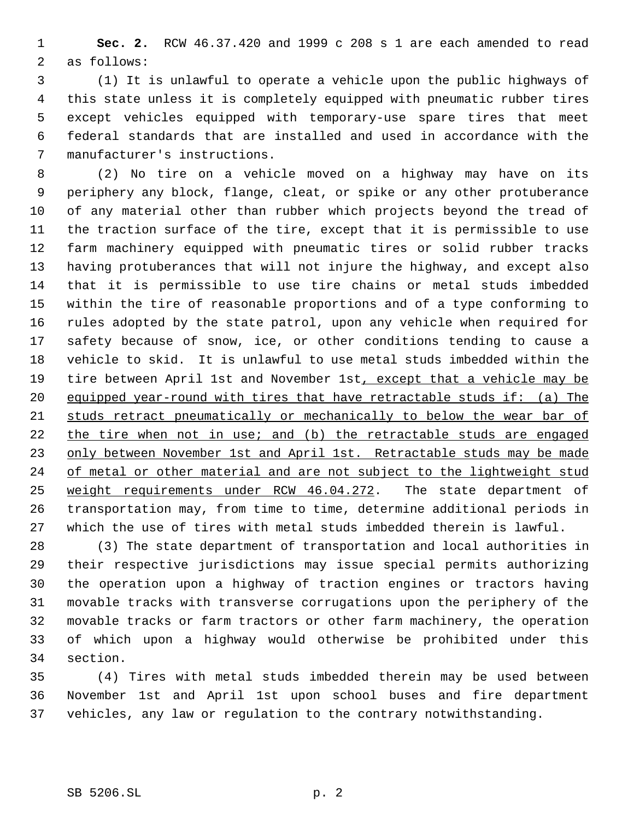**Sec. 2.** RCW 46.37.420 and 1999 c 208 s 1 are each amended to read as follows:

 (1) It is unlawful to operate a vehicle upon the public highways of this state unless it is completely equipped with pneumatic rubber tires except vehicles equipped with temporary-use spare tires that meet federal standards that are installed and used in accordance with the manufacturer's instructions.

 (2) No tire on a vehicle moved on a highway may have on its periphery any block, flange, cleat, or spike or any other protuberance of any material other than rubber which projects beyond the tread of the traction surface of the tire, except that it is permissible to use farm machinery equipped with pneumatic tires or solid rubber tracks having protuberances that will not injure the highway, and except also that it is permissible to use tire chains or metal studs imbedded within the tire of reasonable proportions and of a type conforming to rules adopted by the state patrol, upon any vehicle when required for safety because of snow, ice, or other conditions tending to cause a vehicle to skid. It is unlawful to use metal studs imbedded within the 19 tire between April 1st and November 1st, except that a vehicle may be equipped year-round with tires that have retractable studs if: (a) The studs retract pneumatically or mechanically to below the wear bar of 22 the tire when not in use; and (b) the retractable studs are engaged 23 only between November 1st and April 1st. Retractable studs may be made 24 of metal or other material and are not subject to the lightweight stud weight requirements under RCW 46.04.272. The state department of transportation may, from time to time, determine additional periods in which the use of tires with metal studs imbedded therein is lawful.

 (3) The state department of transportation and local authorities in their respective jurisdictions may issue special permits authorizing the operation upon a highway of traction engines or tractors having movable tracks with transverse corrugations upon the periphery of the movable tracks or farm tractors or other farm machinery, the operation of which upon a highway would otherwise be prohibited under this section.

 (4) Tires with metal studs imbedded therein may be used between November 1st and April 1st upon school buses and fire department vehicles, any law or regulation to the contrary notwithstanding.